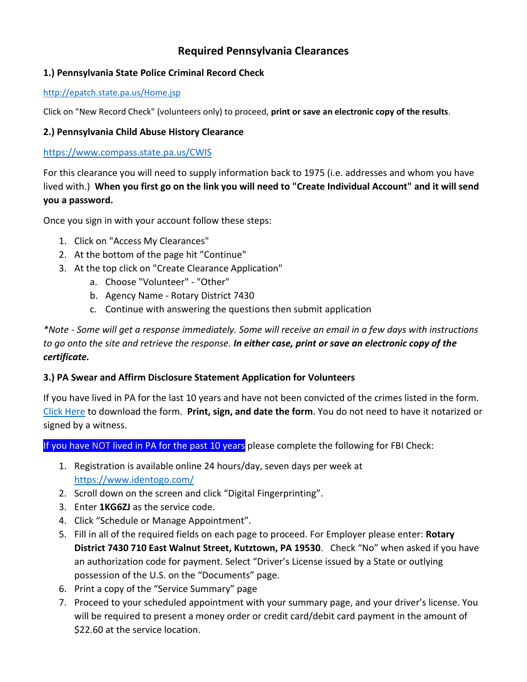# **Required Pennsylvania Clearances**

## **1.) Pennsylvania State Police Criminal Record Check**

#### <http://epatch.state.pa.us/Home.jsp>

Click on "New Record Check" (volunteers only) to proceed, **print or save an electronic copy of the results**.

## **2.) Pennsylvania Child Abuse History Clearance**

#### <https://www.compass.state.pa.us/CWIS>

For this clearance you will need to supply information back to 1975 (i.e. addresses and whom you have lived with.) **When you first go on the link you will need to "Create Individual Account" and it will send you a password.**

Once you sign in with your account follow these steps:

- 1. Click on "Access My Clearances"
- 2. At the bottom of the page hit "Continue"
- 3. At the top click on "Create Clearance Application"
	- a. Choose "Volunteer" "Other"
	- b. Agency Name Rotary District 7430
	- c. Continue with answering the questions then submit application

*\*Note - Some will get a response immediately. Some will receive an email in a few days with instructions to go onto the site and retrieve the response. In either case, print or save an electronic copy of the certificate.*

## **3.) PA Swear and Affirm Disclosure Statement Application for Volunteers**

If you have lived in PA for the last 10 years and have not been convicted of the crimes listed in the form. [Click Here](https://clubrunner.blob.core.windows.net/00000050086/en-ca/files/sitepage/youth-protection-policy-process/disclosure-statement-application-for-voluntee/PA-Swear-and-Affirm-Statement--1-.pdf) to download the form. **Print, sign, and date the form**. You do not need to have it notarized or signed by a witness.

If you have NOT lived in PA for the past 10 years please complete the following for FBI Check:

- 1. Registration is available online 24 hours/day, seven days per week at <https://www.identogo.com/>
- 2. Scroll down on the screen and click "Digital Fingerprinting".
- 3. Enter **1KG6ZJ** as the service code.
- 4. Click "Schedule or Manage Appointment".
- 5. Fill in all of the required fields on each page to proceed. For Employer please enter: **Rotary District 7430 710 East Walnut Street, Kutztown, PA 19530**. Check "No" when asked if you have an authorization code for payment. Select "Driver's License issued by a State or outlying possession of the U.S. on the "Documents" page.
- 6. Print a copy of the "Service Summary" page
- 7. Proceed to your scheduled appointment with your summary page, and your driver's license. You will be required to present a money order or credit card/debit card payment in the amount of \$22.60 at the service location.